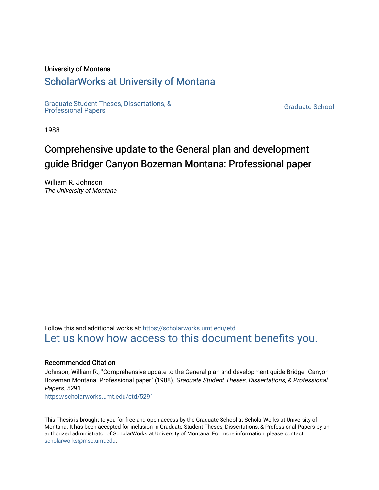## University of Montana

# [ScholarWorks at University of Montana](https://scholarworks.umt.edu/)

[Graduate Student Theses, Dissertations, &](https://scholarworks.umt.edu/etd) Graduate Student Theses, Dissertations, & Contract Control of the Graduate School [Professional Papers](https://scholarworks.umt.edu/etd) Contract Control of the Contract Control of the Contract Control of the Contract Contract Contract Control of the Contra

1988

# Comprehensive update to the General plan and development guide Bridger Canyon Bozeman Montana: Professional paper

William R. Johnson The University of Montana

Follow this and additional works at: [https://scholarworks.umt.edu/etd](https://scholarworks.umt.edu/etd?utm_source=scholarworks.umt.edu%2Fetd%2F5291&utm_medium=PDF&utm_campaign=PDFCoverPages)  [Let us know how access to this document benefits you.](https://goo.gl/forms/s2rGfXOLzz71qgsB2) 

#### Recommended Citation

Johnson, William R., "Comprehensive update to the General plan and development guide Bridger Canyon Bozeman Montana: Professional paper" (1988). Graduate Student Theses, Dissertations, & Professional Papers. 5291.

[https://scholarworks.umt.edu/etd/5291](https://scholarworks.umt.edu/etd/5291?utm_source=scholarworks.umt.edu%2Fetd%2F5291&utm_medium=PDF&utm_campaign=PDFCoverPages)

This Thesis is brought to you for free and open access by the Graduate School at ScholarWorks at University of Montana. It has been accepted for inclusion in Graduate Student Theses, Dissertations, & Professional Papers by an authorized administrator of ScholarWorks at University of Montana. For more information, please contact [scholarworks@mso.umt.edu.](mailto:scholarworks@mso.umt.edu)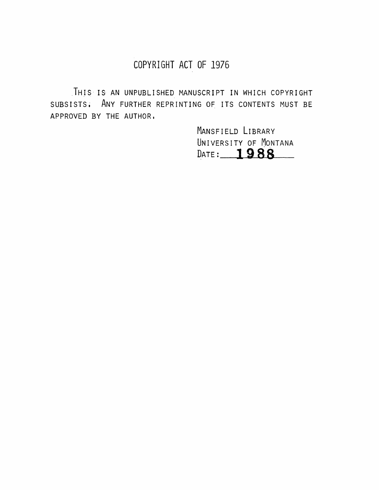# **COPYRIGHT ACT OF 1976**

THIS IS AN UNPUBLISHED MANUSCRIPT IN WHICH COPYRIGHT subsists . Any further reprinting of its contents must be APPROVED BY THE AUTHOR.

> MANSFIELD LIBRARY UNIVERSITY OF MONTANA<br>DATE: 1988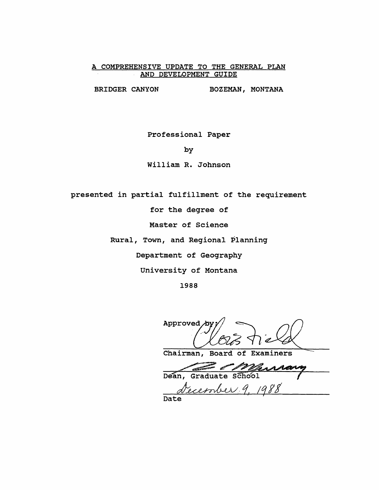## COMPREHENSIVE UPDATE TO THE GENERAL PLAN **AND DEVELOPMENT GUIDE**

BRIDGER CANYON BOZEMAN, MONTANA

**Professional Paper**

**by**

**William R. Johnson**

**presented in partial fulfillment of the requirement**

**for the degree of**

**Master of Science**

**Rural, Town, and Regional Planning**

**Department of Geography**

**University of Montana**

**1988**

Approved<sub>/D</sub>

**Chairman, Board of Examiners**

Dean, Graduate School

Cecember 9, 1988

**Date**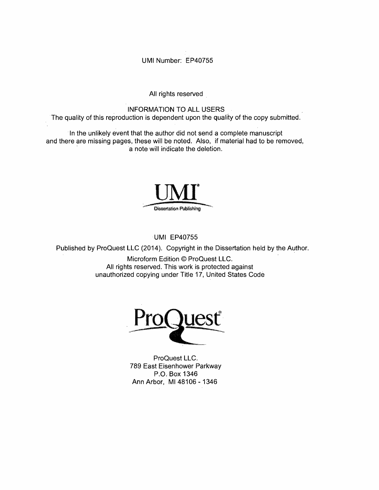**UMI Number: EP40755**

All rights reserved

INFORMATION TO ALL USERS

The quality of this reproduction is dependent upon the quality of the copy submitted.

In the unlikely event that the author did not send a complete manuscript and there are missing pages, these will be noted. Also, if material had to be removed, a note will indicate the deletion.



UMI EP40755

Published by ProQuest LLC (2014). Copyright in the Dissertation held by the Author.

Microform Edition © ProQuest LLC. All rights reserved. This work is protected against unauthorized copying under Title 17, United States Code



ProQuest LLC. 789 East Eisenhower Parkway P.O. Box 1346 Ann Arbor, Ml 48106 - 1346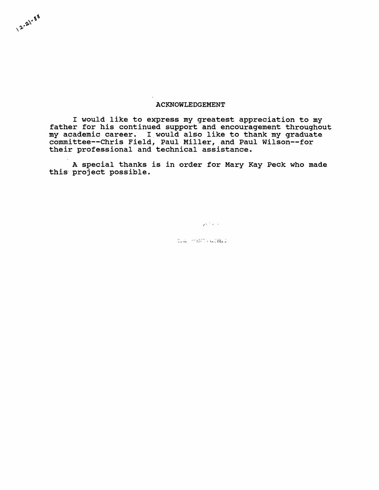#### **ACKNOWLEDGEMENT**

2-21-88

**I would like to express my greatest appreciation to my father for his continued support and encouragement throughout my academic career. I would also like to thank my graduate committee— Chris Field, Paul Miller, and Paul Wilson— for their professional and technical assistance.**

**A special thanks is in order for Mary Kay Peck who made this project possible.**

Contractor

til Hanvutal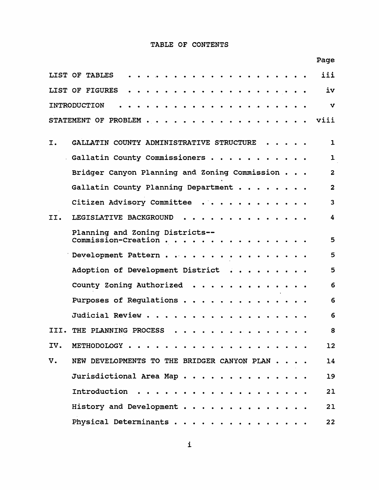## **TABLE OF CONTENTS**

| Page                                                   |                |
|--------------------------------------------------------|----------------|
| LIST OF TABLES                                         | iii            |
| LIST OF FIGURES                                        | iv             |
| <b>INTRODUCTION</b>                                    | $\mathbf{v}$   |
| viii<br>STATEMENT OF PROBLEM.                          |                |
| GALLATIN COUNTY ADMINISTRATIVE STRUCTURE<br>I.         | $\mathbf{1}$   |
| Gallatin County Commissioners<br>$\bullet$             | $\mathbf{1}$   |
| Bridger Canyon Planning and Zoning Commission.         | $\overline{2}$ |
| Gallatin County Planning Department.                   | $\overline{2}$ |
| Citizen Advisory Committee                             | $\overline{3}$ |
| LEGISLATIVE BACKGROUND<br>II.                          | 4              |
| Planning and Zoning Districts--<br>Commission-Creation | 5              |
| Development Pattern.                                   | 5              |
| Adoption of Development District                       | 5              |
| County Zoning Authorized                               | 6              |
| Purposes of Regulations.                               | 6              |
| Judicial Review.                                       | 6              |
| THE PLANNING PROCESS<br>нн.                            | 8              |
| IV.<br>METHODOLOGY                                     | 12             |
| V.<br>NEW DEVELOPMENTS TO THE BRIDGER CANYON PLAN      | 14             |
| Jurisdictional Area Map                                | 19             |
| Introduction                                           | 21             |
| History and Development                                | 21             |
| Physical Determinants                                  | 22             |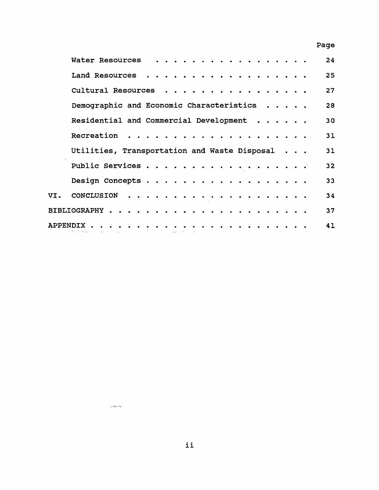# **Page**

| Water Resources                              |   |  | .          |  |  |              |  |  |  |  | 24 |
|----------------------------------------------|---|--|------------|--|--|--------------|--|--|--|--|----|
| Land Resources                               |   |  | .          |  |  |              |  |  |  |  | 25 |
| Cultural Resources                           |   |  | . <b>.</b> |  |  |              |  |  |  |  | 27 |
| Demographic and Economic Characteristics     |   |  |            |  |  |              |  |  |  |  | 28 |
| Residential and Commercial Development       |   |  |            |  |  |              |  |  |  |  | 30 |
| Recreation                                   |   |  |            |  |  | .            |  |  |  |  | 31 |
| Utilities, Transportation and Waste Disposal |   |  |            |  |  |              |  |  |  |  | 31 |
| Public Services                              |   |  |            |  |  |              |  |  |  |  | 32 |
| Design Concepts                              |   |  |            |  |  |              |  |  |  |  | 33 |
| VI. CONCLUSION                               |   |  |            |  |  |              |  |  |  |  | 34 |
|                                              |   |  |            |  |  |              |  |  |  |  | 37 |
| APPENDIX.<br>state of the state of the state | . |  |            |  |  | . <i>.</i> . |  |  |  |  | 41 |
|                                              |   |  |            |  |  |              |  |  |  |  |    |

 $\frac{1}{2} \sum_{i=1}^{n} \frac{1}{2} \sum_{j=1}^{n} \frac{1}{2} \sum_{j=1}^{n} \frac{1}{2} \sum_{j=1}^{n} \frac{1}{2} \sum_{j=1}^{n} \frac{1}{2} \sum_{j=1}^{n} \frac{1}{2} \sum_{j=1}^{n} \frac{1}{2} \sum_{j=1}^{n} \frac{1}{2} \sum_{j=1}^{n} \frac{1}{2} \sum_{j=1}^{n} \frac{1}{2} \sum_{j=1}^{n} \frac{1}{2} \sum_{j=1}^{n} \frac{1}{2} \sum_{j=1}^{n$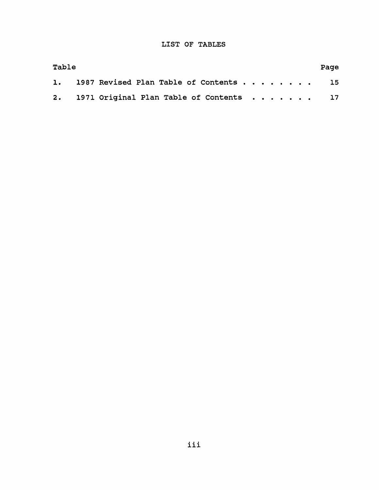## **LIST OF TABLES**

| Table |  |  |  |  |  |                                            |  |  |  |  |  | Page |  |  |
|-------|--|--|--|--|--|--------------------------------------------|--|--|--|--|--|------|--|--|
|       |  |  |  |  |  | 1. 1987 Revised Plan Table of Contents 15  |  |  |  |  |  |      |  |  |
|       |  |  |  |  |  | 2. 1971 Original Plan Table of Contents 17 |  |  |  |  |  |      |  |  |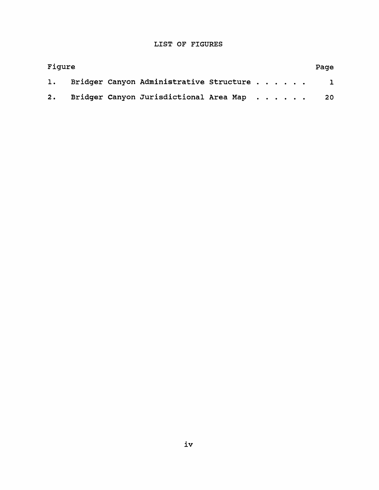## **LIST OF FIGURES**

| Figure |  |  |                                              |  |  |  |  |  |  |  |              |
|--------|--|--|----------------------------------------------|--|--|--|--|--|--|--|--------------|
|        |  |  | 1. Bridger Canyon Administrative Structure   |  |  |  |  |  |  |  | $\mathbf{I}$ |
|        |  |  | 2. Bridger Canyon Jurisdictional Area Map 20 |  |  |  |  |  |  |  |              |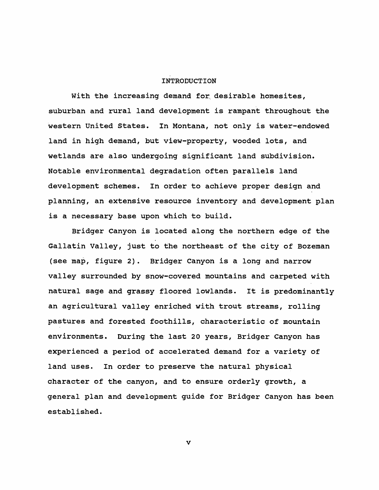#### **INTRODUCTION**

**With the increasing demand for, desirable homesites, suburban and rural land development is rampant throughout the western United States. In Montana, not only is water-endowed land in high demand, but view-property, wooded lots, and wetlands are also undergoing significant land subdivision. Notable environmental degradation often parallels land development schemes. In order to achieve proper design and planning, an extensive resource inventory and development plan is a necessary base upon which to build.**

**Bridger Canyon is located along the northern edge of the Gallatin Valley, just to the northeast of the city of Bozeman (see map, figure 2). Bridger Canyon is a long and narrow valley surrounded by snow-covered mountains and carpeted with natural sage and grassy floored lowlands. It is predominantly an agricultural valley enriched with trout streams, rolling pastures and forested foothills, characteristic of mountain environments. During the last 20 years, Bridger Canyon has experienced a period of accelerated demand for a variety of land uses. In order to preserve the natural physical character of the canyon, and to ensure orderly growth, a general plan and development guide for Bridger Canyon has been established.**

**v**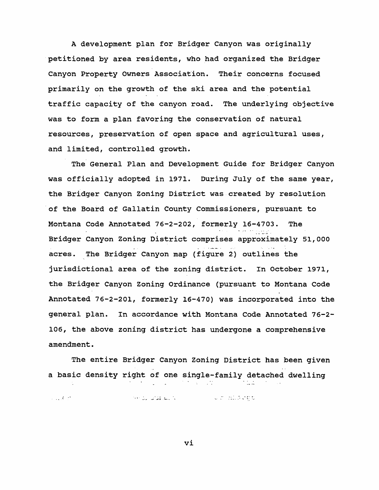**A development plan for Bridger Canyon was originally petitioned by area residents, who had organized the Bridger Canyon Property Owners Association. Their concerns focused primarily on the growth of the ski area and the potential traffic capacity of the canyon road. The underlying objective was to form a plan favoring the conservation of natural resources, preservation of open space and agricultural uses, and limited, controlled growth.**

**The General Plan and Development Guide for Bridger Canyon was officially adopted in 1971. During July of the same year, the Bridger Canyon Zoning District was created by resolution of the Board of Gallatin County Commissioners, pursuant to Montana Code Annotated 76-2-202, formerly 16-4703. The Bridger Canyon Zoning District comprises approximately 51,000 acres. The Bridger Canyon map (figure 2) outlines the jurisdictional area of the zoning district. In October 1971, the Bridger Canyon Zoning Ordinance (pursuant to Montana Code Annotated 76-2-201, formerly 16-470) was incorporated into the general plan. In accordance with Montana Code Annotated 76-2- 106, the above zoning district has undergone a comprehensive amendment.**

**The entire Bridger Canyon Zoning District has been given a basic density right of one single-family detached dwelling**  $\mathbb{R}^2$ 

and all and all in the second will mill a spe  $\sim 100$  M  $_\odot$ 

**vi**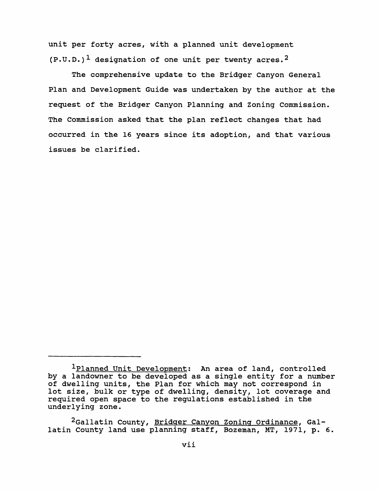**unit per forty acres, with a planned unit development (P.U.D.)1 designation of one unit per twenty acres.2**

**The comprehensive update to the Bridger Canyon General Plan and Development Guide was undertaken by the author at the request of the Bridger Canyon Planning and Zoning Commission. The Commission asked that the plan reflect changes that had occurred in the 16 years since its adoption, and that various issues be clarified.**

**<sup>1</sup>Planned Unit Development: An area of land, controlled by a landowner to be developed as a single entity for a number of dwelling units, the Plan for which may not correspond in lot size, bulk or type of dwelling, density, lot coverage and required open space to the regulations established in the underlying zone.**

**<sup>2</sup>Gallatin County, Bridger Canvon Zoning Ordinance. Gallatin County land use planning staff, Bozeman, MT, 1971, p. 6.**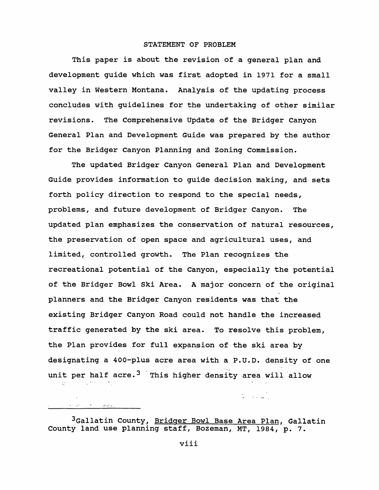## **STATEMENT OF PROBLEM**

**This paper is about the revision of a general plan and development guide which was first adopted in 1971 for a small valley in Western Montana. Analysis of the updating process concludes with guidelines for the undertaking of other similar revisions. The Comprehensive Update of the Bridger Canyon General Plan and Development Guide was prepared by the author for the Bridger Canyon Planning and Zoning Commission.**

**The updated Bridger Canyon General Plan and Development Guide provides information to guide decision making, and sets forth policy direction to respond to the special needs, problems, and future development of Bridger Canyon. The updated plan emphasizes the conservation of natural resources, the preservation of open space and agricultural uses, and limited, controlled growth. The Plan recognizes the recreational potential of the Canyon, especially the potential of the Bridger Bowl Ski Area. A major concern of the original planners and the Bridger Canyon residents was that the existing Bridger Canyon Road could not handle the increased traffic generated by the ski area. To resolve this problem, the Plan provides for full expansion of the ski area by designating a 400-plus acre area with a P.U.D. density of one unit per half acre.3 This higher density area will allow**  $\mathbb{R}^{2n}$ 

**3Gallatin County, Bridger Bowl Base Area Plan. Gallatin County land use planning staff, Bozeman, MT, 1984, p. 7.**

 $\label{eq:2} \left\langle \left\langle \varphi_{\alpha\beta} \right\rangle \varphi_{\alpha\beta} \right\rangle = \left\langle \left\langle \varphi_{\alpha\beta} \right\rangle \varphi_{\alpha\beta} \right\rangle$ 

 $\mathcal{L} = \{ \mathcal{L}_1, \mathcal{L}_2 \}$ 

**viii**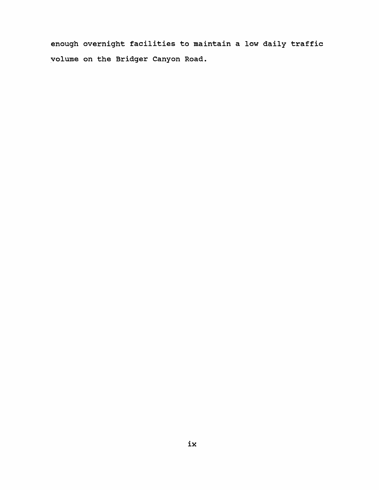**enough overnight facilities to maintain a low daily traffic volume on the Bridger Canyon Road.**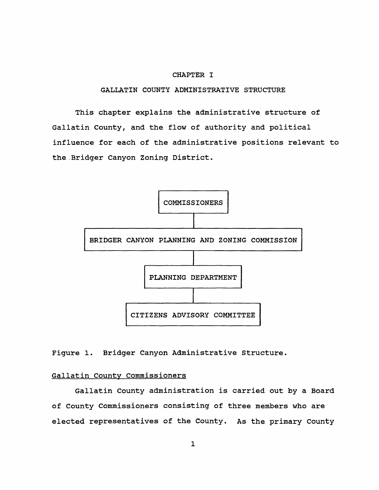#### **CHAPTER I**

## **GALLATIN COUNTY ADMINISTRATIVE STRUCTURE**

**This chapter explains the administrative structure of Gallatin County, and the flow of authority and political influence for each of the administrative positions relevant to the Bridger Canyon Zoning District.**



**Figure 1. Bridger Canyon Administrative Structure.**

## **Gallatin County Commissioners**

**Gallatin County administration is carried out by a Board of County Commissioners consisting of three members who are elected representatives of the County. As the primary County**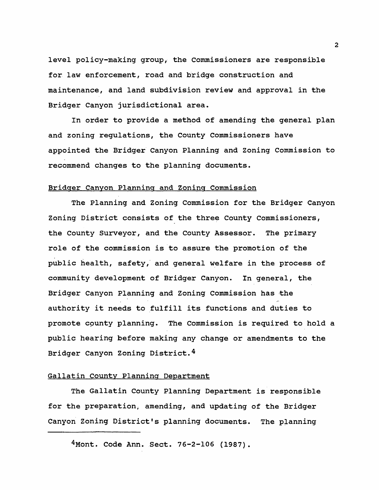**level policy-making group, the Commissioners are responsible for law enforcement, road and bridge construction and maintenance, and land subdivision review and approval in the Bridger Canyon jurisdictional area.**

**In order to provide a method of amending the general plan and zoning regulations, the County Commissioners have appointed the Bridger Canyon Planning and Zoning Commission to recommend changes to the planning documents.**

#### **Bridger Canyon Planning and Zoning Commission**

**The Planning and Zoning Commission for the Bridger Canyon Zoning District consists of the three County Commissioners, the County Surveyor, and the County Assessor. The primary role of the commission is to assure the promotion of the public health, safety, and general welfare in the process of community development of Bridger Canyon. In general, the Bridger Canyon Planning and Zoning Commission has the authority it needs to fulfill its functions and duties to promote county planning. The Commission is required to hold a public hearing before making any change or amendments to the Bridger Canyon Zoning District.4**

## **Gallatin County Planning Department**

**The Gallatin County Planning Department is responsible for the preparation^ amending, and updating of the Bridger Canyon Zoning District's planning documents. The planning**

**<sup>4</sup>Mont. Code Ann. Sect. 76-2-106 (1987).**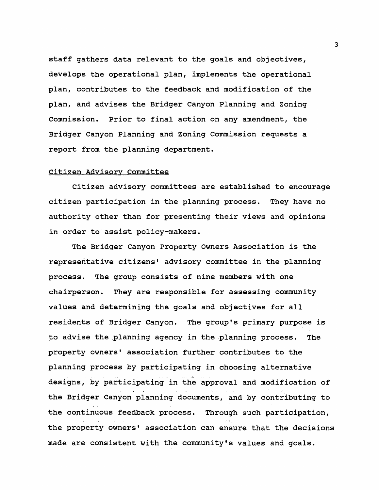**staff gathers data relevant to the goals and objectives, develops the operational plan, implements the operational plan, contributes to the feedback and modification of the plan, and advises the Bridger Canyon Planning and Zoning Commission. Prior to final action on any amendment, the Bridger Canyon Planning and Zoning Commission requests a report from the planning department.**

#### **Citizen Advisory Committee**

**Citizen advisory committees are established to encourage citizen participation in the planning process. They have no authority other than for presenting their views and opinions in order to assist policy-makers.**

**The Bridger Canyon Property Owners Association is the representative citizens\* advisory committee in the planning process. The group consists of nine members with one chairperson. They are responsible for assessing community values and determining the goals and objectives for all residents of Bridger Canyon. The group's primary purpose is to advise the planning agency in the planning process. The** property owners' association further contributes to the **planning process by participating in choosing alternative designs, by participating in the approval and modification of the Bridger Canyon planning documents, and by contributing to the continuous feedback process. Through such participation, the property owners' association can ensure that the decisions made are consistent with the community's values and goals.**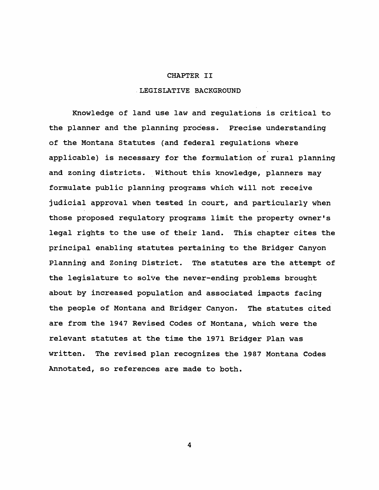#### **CHAPTER II**

## **LEGISLATIVE BACKGROUND**

**Knowledge of land use law and regulations is critical to the planner and the planning process. Precise understanding of the Montana Statutes (and federal regulations where applicable) is necessary for the formulation of rural planning and zoning districts. Without this knowledge, planners may formulate public planning programs which will not receive judicial approval when tested in court, and particularly when those proposed regulatory programs limit the property owner's legal rights to the use of their land. This chapter cites the principal enabling statutes pertaining to the Bridger Canyon Planning and Zoning District. The statutes are the attempt of the legislature to solve the never-ending problems brought about by increased population and associated impacts facing the people of Montana and Bridger Canyon. The statutes cited are from the 1947 Revised Codes of Montana, which were the relevant statutes at the time the 1971 Bridger Plan was written. The revised plan recognizes the 1987 Montana Codes Annotated, so references are made to both.**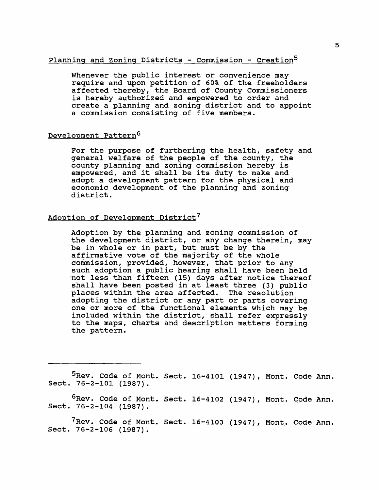## **Planning and Zoning Districts - Commission - Creation5**

**Whenever the public interest or convenience may require and upon petition of 60% of the freeholders affected thereby, the Board of County Commissioners is hereby authorized and empowered to order and create a planning and zoning district and to appoint a commission consisting of five members.**

## **Development Pattern6**

**For the purpose of furthering the health, safety and general welfare of the people of the county, the county planning and zoning commission hereby is empowered, and it shall be its duty to make and adopt a development pattern for the physical and economic development of the planning and zoning district.**

## **Adoption of Development District7**

**Adoption by the planning and zoning commission of the development district, or any change therein, may be in whole or in part, but must be by the affirmative vote of the majority of the whole commission, provided, however, that prior to any such adoption a public hearing shall have been held not less than fifteen (15) days after notice thereof shall have been posted in at least three (3) public places within the area affected. The resolution adopting the district or any part or parts covering one or more of the functional elements which may be included within the district, shall refer expressly to the maps, charts and description matters forming the pattern.**

**5Rev. Code of Mont. Sect. 16-4101 (1947), Mont. Code Ann. Sect. 76-2-101 (1987).**

**6Rev. Code of Mont. Sect. 16-4102 (1947), Mont. Code Ann. Sect. 76-2-104 (1987).**

**^Rev. Code of Mont. Sect. 16-4103 (1947), Mont. Code Ann. Sect. 76-2-106 (1987).**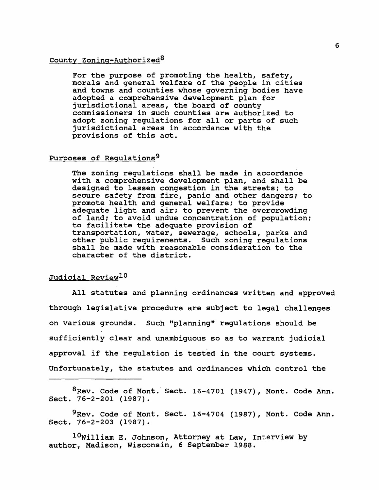## **County Zoning-Authorized8**

**For the purpose of promoting the health, safety, morals and general welfare of the people in cities and towns and counties whose governing bodies have adopted a comprehensive development plan for jurisdictional areas, the board of county commissioners in such counties are authorized to adopt zoning regulations for all or parts of such jurisdictional areas in accordance with the provisions of this act.**

## **Purposes of Regulations9**

**The zoning regulations shall be made in accordance with a comprehensive development plan, and shall be designed to lessen congestion in the streets; to secure safety from fire, panic and other dangers; to promote health and general welfare; to provide adequate light and air; to prevent the overcrowding of land; to avoid undue concentration of population; to facilitate the adequate provision of transportation, water, sewerage, schools, parks and other public requirements. Such zoning regulations shall be made with reasonable consideration to the character of the district.**

## **Judicial Review10**

**All statutes and planning ordinances written and approved through legislative procedure are subject to legal challenges on various grounds. Such "planning" regulations should be sufficiently clear and unambiguous so as to warrant judicial approval if the regulation is tested in the court systems. Unfortunately, the statutes and ordinances which control the**

**8Rev. Code of Mont. Sect. 16-4701 (1947), Mont. Code Ann. Sect. 76-2-201 (1987).**

**9Rev. Code of Mont. Sect. 16-4704 (1987), Mont. Code Ann. Sect. 76-2-203 (1987).**

**10William E. Johnson, Attorney at Law, Interview by author, Madison, Wisconsin, 6 September 1988.**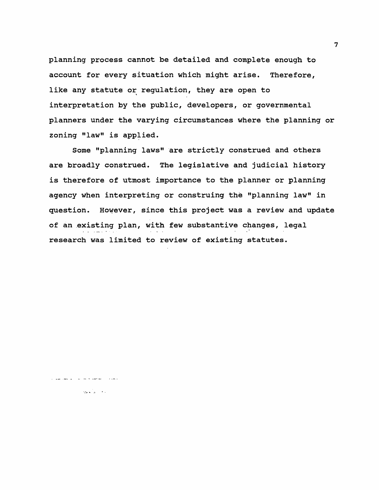**planning process cannot be detailed and complete enough to account for every situation which might arise. Therefore, like any statute or regulation, they are open to interpretation by the public, developers, or governmental planners under the varying circumstances where the planning or zoning "law" is applied.**

**Some "planning laws" are strictly construed and others are broadly construed. The legislative and judicial history is therefore of utmost importance to the planner or planning agency when interpreting or construing the "planning law" in question. However, since this project was a review and update of an existing plan, with few substantive changes, legal research was limited to review of existing statutes.**

المعدود المتحققا فالمراس الواعظاء عقوريا

 $\langle \partial \phi \phi \rangle_{\rm eff} = 0.1$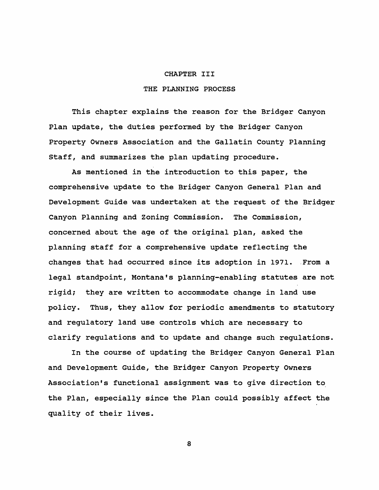#### **CHAPTER III**

## **THE PLANNING PROCESS**

**This chapter explains the reason for the Bridger Canyon Plan update, the duties performed by the Bridger Canyon Property Owners Association and the Gallatin County Planning Staff, and summarizes the plan updating procedure.**

**As mentioned in the introduction to this paper, the comprehensive update to the Bridger Canyon General Plan and Development Guide was undertaken at the request of the Bridger Canyon Planning and Zoning Commission. The Commission, concerned about the age of the original plan, asked the planning staff for a comprehensive update reflecting the changes that had occurred since its adoption in 1971. From a legal standpoint, Montana\*s planning-enabling statutes are not rigid; they are written to accommodate change in land use policy. Thus, they allow for periodic amendments to statutory and regulatory land use controls which are necessary to clarify regulations and to update and change such regulations.**

**In the course of updating the Bridger Canyon General Plan and Development Guide, the Bridger Canyon Property Owners Association\*s functional assignment was to give direction to the Plan, especially since the Plan could possibly affect the quality of their lives.**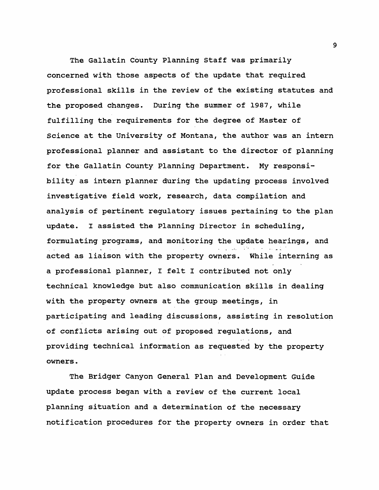**The Gallatin County Planning Staff was primarily concerned with those aspects of the update that required professional skills in the review of the existing statutes and the proposed changes. During the summer of 1987, while fulfilling the requirements for the degree of Master of Science at the University of Montana, the author was an intern professional planner and assistant to the director of planning for the Gallatin County Planning Department. My responsibility as intern planner during the updating process involved investigative field work, research, data compilation and analysis of pertinent regulatory issues pertaining to the plan update. I assisted the Planning Director in scheduling, formulating programs, and monitoring the update hearings, and acted as liaison with the property owners. While interning as a professional planner, I felt I contributed not only technical knowledge but also communication skills in dealing with the property owners at the group meetings, in participating and leading discussions, assisting in resolution of conflicts arising out of proposed regulations, and providing technical information as requested by the property owners.**

**The Bridger Canyon General Plan and Development Guide update process began with a review of the current local planning situation and a determination of the necessary notification procedures for the property owners in order that**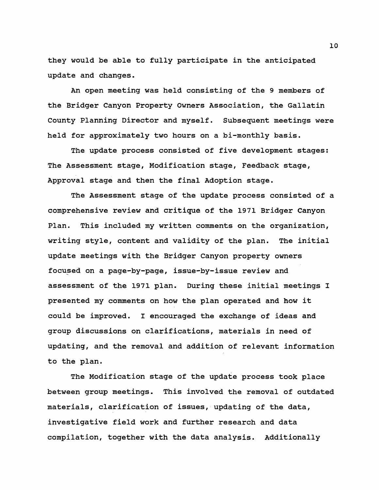**they would be able to fully participate in the anticipated update and changes.**

**An open meeting was held consisting of the 9 members of the Bridger Canyon Property Owners Association, the Gallatin County Planning Director and myself. Subsequent meetings were held for approximately two hours on a bi-monthly basis.**

**The update process consisted of five development stages: The Assessment stage, Modification stage, Feedback stage, Approval stage and then the final Adoption stage.**

**The Assessment stage of the update process consisted of a comprehensive review and critique of the 1971 Bridger Canyon Plan. This included my written comments on the organization, writing style, content and validity of the plan. The initial update meetings with the Bridger Canyon property owners focused on a page-by-page, issue-by-issue review and assessment of the 1971 plan. During these initial meetings I presented my comments on how the plan operated and how it could be improved. I encouraged the exchange of ideas and group discussions on clarifications, materials in need of updating, and the removal and addition of relevant information to the plan.**

**The Modification stage of the update process took place between group meetings. This involved the removal of outdated materials, clarification of issues, updating of the data, investigative field work and further research and data compilation, together with the data analysis. Additionally**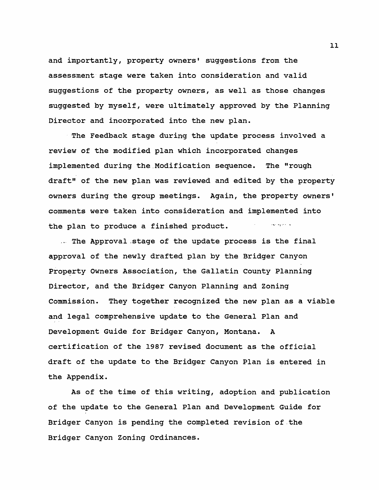**and importantly, property owners' suggestions from the assessment stage were taken into consideration and valid suggestions of the property owners, as well as those changes suggested by myself, were ultimately approved by the Planning Director and incorporated into the new plan.**

**The Feedback stage during the update process involved a review of the modified plan which incorporated changes implemented during the Modification sequence. The "rough draft" of the new plan was reviewed and edited by the property owners during the group meetings. Again, the property owners' comments were taken into consideration and implemented into** لواردهم ومانون **the plan to produce a finished product.**

**... The Approval ,stage of the update process is the final approval of the newly drafted plan by the Bridger Canyon Property Owners Association, the Gallatin County Planning Director, and the Bridger Canyon Planning and Zoning Commission. They together recognized the new plan as a viable and legal comprehensive update to the General Plan and Development Guide for Bridger Canyon, Montana. A certification of the 1987 revised document as the official draft of the update to the Bridger Canyon Plan is entered in the Appendix.**

**As of the time of this writing, adoption and publication of the update to the General Plan and Development Guide for Bridger Canyon is pending the completed revision of the Bridger Canyon Zoning Ordinances.**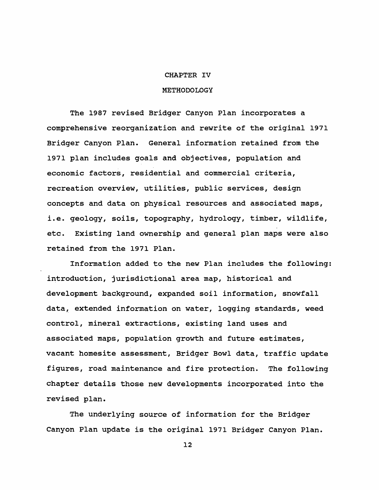#### **CHAPTER IV**

#### **METHODOLOGY**

**The 1987 revised Bridger Canyon Plan incorporates a comprehensive reorganization and rewrite of the original 1971 Bridger Canyon Plan. General information retained from the 1971 plan includes goals and objectives, population and economic factors, residential and commercial criteria, recreation overview, utilities, public services, design concepts and data on physical resources and associated maps, i.e. geology, soils, topography, hydrology, timber, wildlife, etc. Existing land ownership and general plan maps were also retained from the 1971 Plan.**

**Information added to the new Plan includes the following: introduction, jurisdictional area map, historical and development background, expanded soil information, snowfall data, extended information on water, logging standards, weed control, mineral extractions, existing land uses and associated maps, population growth and future estimates, vacant homesite assessment, Bridger Bowl data, traffic update figures, road maintenance and fire protection. The following chapter details those new developments incorporated into the revised plan.**

**The underlying source of information for the Bridger Canyon Plan update is the original 1971 Bridger Canyon Plan.**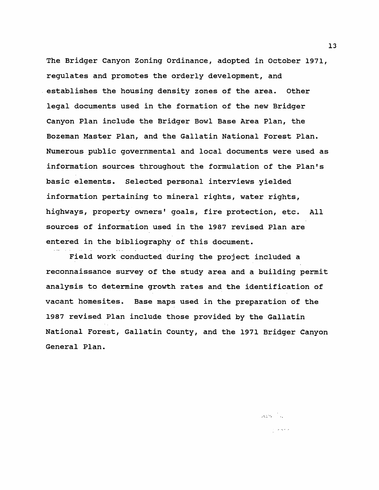**The Bridger Canyon Zoning Ordinance, adopted in October 1971, regulates and promotes the orderly development, and establishes the housing density zones of the area. Other legal documents used in the formation of the new Bridger Canyon Plan include the Bridger Bowl Base Area Plan, the Bozeman Master Plan, and the Gallatin National Forest Plan. Numerous public governmental and local documents were used as information sources throughout the formulation of the Plan's basic elements. Selected personal interviews yielded information pertaining to mineral rights, water rights, highways, property owners' goals, fire protection, etc. All sources of information used in the 1987 revised Plan are entered in the bibliography of this document.**

**Field work conducted during the project included a reconnaissance survey of the study area and a building permit analysis to determine growth rates and the identification of vacant homesites. Base maps used in the preparation of the 1987 revised Plan include those provided by the Gallatin National Forest, Gallatin County, and the 1971 Bridger Canyon General Plan.**

 $\mathcal{A}^{\text{L}}_{\text{L}}$  and  $\mathcal{A}^{\text{L}}_{\text{L}}$ 

 $\frac{1}{\sqrt{2}}$  , where  $\frac{1}{\sqrt{2}}$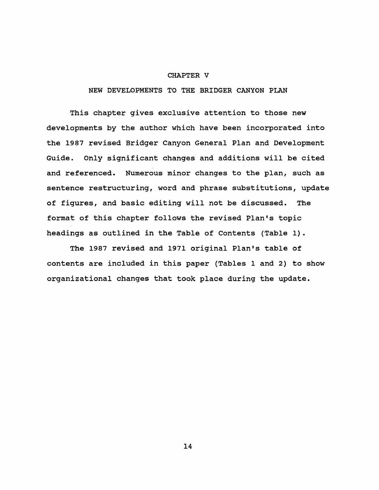#### **CHAPTER V**

**NEW DEVELOPMENTS TO THE BRIDGER CANYON PLAN**

**This chapter gives exclusive attention to those new developments by the author which have been incorporated into the 1987 revised Bridger Canyon General Plan and Development Guide. Only significant changes and additions will be cited and referenced. Numerous minor changes to the plan, such as sentence restructuring, word and phrase substitutions, update of figures, and basic editing will not be discussed. The format of this chapter follows the revised Plan's topic headings as outlined in the Table of Contents (Table 1).**

**The 1987 revised and 1971 original Plan's table of contents are included in this paper (Tables 1 and 2) to show organizational changes that took place during the update.**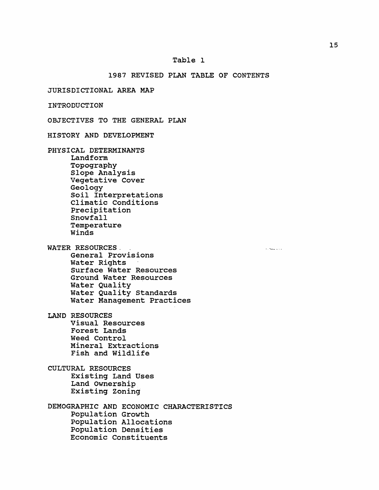## **1987 REVISED PLAN TABLE OF CONTENTS**

**JURISDICTIONAL AREA MAP**

**INTRODUCTION**

**OBJECTIVES TO THE GENERAL PLAN**

**HISTORY AND DEVELOPMENT**

**PHYSICAL DETERMINANTS Landform Topography Slope Analysis Vegetative Cover Geology Soil Interpretations Climatic Conditions Precipitation Snowfall Temperature Winds**

**WATER RESOURCES. . General Provisions Water Rights Surface Water Resources Ground Water Resources Water Quality Water Quality Standards Water Management Practices**

**LAND RESOURCES Visual Resources Forest Lands Weed Control Mineral Extractions Fish and Wildlife**

**CULTURAL RESOURCES Existing Land Uses Land Ownership Existing Zoning**

**DEMOGRAPHIC AND ECONOMIC CHARACTERISTICS Population Growth Population Allocations Population Densities Economic Constituents**

 $\epsilon$  . Some  $\omega$  ,  $\omega$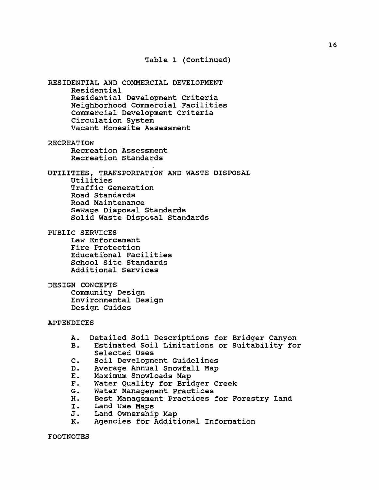**Table 1 (Continued)**

**RESIDENTIAL AND COMMERCIAL DEVELOPMENT Residential Residential Development Criteria Neighborhood Commercial Facilities Commercial Development Criteria Circulation System Vacant Homesite Assessment**

**RECREATION Recreation Assessment Recreation Standards**

**UTILITIES, TRANSPORTATION AND WASTE DISPOSAL Utilities Traffic Generation Road Standards Road Maintenance Sewage Disposal Standards Solid Waste Disposal Standards**

**PUBLIC SERVICES**

**Law Enforcement Fire Protection Educational Facilities School Site Standards Additional Services**

**DESIGN CONCEPTS Community Design Environmental Design Design Guides**

#### **APPENDICES**

- **A. Detailed Soil Descriptions for Bridger Canyon**
- **B. Estimated Soil Limitations or Suitability for Selected Uses**
- **C. Soil Development Guidelines**
- **D. Average Annual Snowfall Map**
- **E. Maximum Snowloads Map**
- **F. Water Quality for Bridger Creek**
- **G. Water Management Practices**
- **H. Best Management Practices for Forestry Land**
- **I. Land Use Maps**
- **J. Land Ownership Map**
- **K. Agencies for Additional Information**

**FOOTNOTES**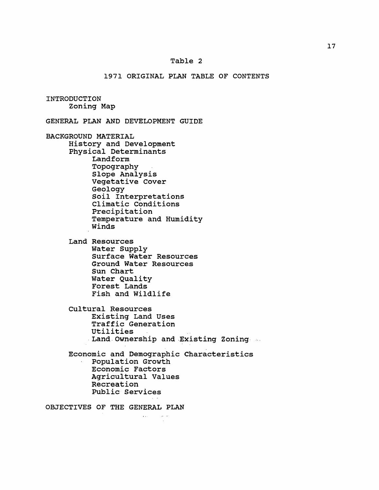#### **Table 2**

## **1971 ORIGINAL PLAN TABLE OF CONTENTS**

**INTRODUCTION Zoning Map**

**GENERAL PLAN AND DEVELOPMENT GUIDE**

**BACKGROUND MATERIAL History and Development Physical Determinants Landform Topography Slope Analysis Vegetative Cover Geology Soil Interpretations Climatic Conditions Precipitation Temperature and Humidity Winds**

> **Land Resources Water Supply Surface Water Resources Ground Water Resources Sun Chart Water Quality Forest Lands Fish and Wildlife**

**Cultural Resources Existing Land Uses Traffic Generation Utilities Land Ownership and Existing Zoning**

**Economic and Demographic Characteristics Population Growth Economic Factors Agricultural Values Recreation Public Services**

وعاشي المتعارف

**OBJECTIVES OF THE GENERAL PLAN**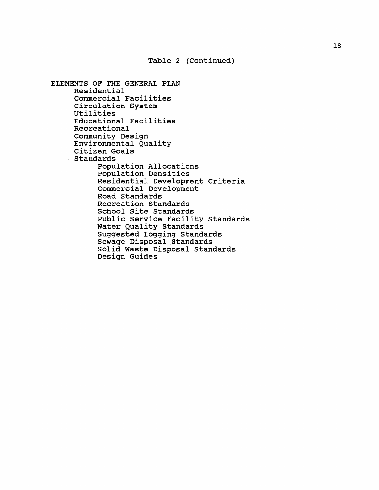**Table 2 (Continued)**

```
ELEMENTS OF THE GENERAL PLAN
  Residential
  Commercial Facilities
  Circulation System
  Utilities
  Educational Facilities
  Recreational
  Community Design
  Environmental Quality
  Citizen Goals
Standards
       Population Allocations
       Population Densities
       Residential Development Criteria
       Commercial Development
       Road Standards
       Recreation Standards
       School Site Standards
       Public Service Facility Standards
       Water Quality Standards
       Suggested Logging Standards
       Sewage Disposal Standards
       Solid Waste Disposal Standards
       Design Guides
```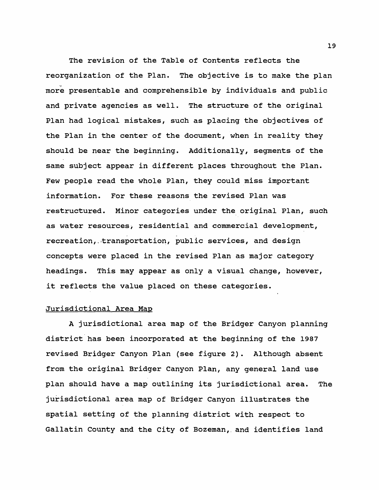**The revision of the Table of Contents reflects the reorganization of the Plan. The objective is to make the plan more presentable and comprehensible by individuals and public and private agencies as well. The structure of the original Plan had logical mistakes, such as placing the objectives of the Plan in the center of the document, when in reality they should be near the beginning. Additionally, segments of the same subject appear in different places throughout the Plan. Few people read the whole Plan, they could miss important information. For these reasons the revised Plan was restructured. Minor categories under the original Plan, such as water resources, residential and commercial development, recreation, . transportation, public services, and design concepts were placed in the revised Plan as major category headings. This may appear as only a visual change, however, it reflects the value placed on these categories.**

#### **Jurisdictional Area Mao**

**A jurisdictional area map of the Bridger Canyon planning district has been incorporated at the beginning of the 1987 revised Bridger Canyon Plan (see figure 2). Although absent from the original Bridger Canyon Plan, any general land use plan should have a map outlining its jurisdictional area. The jurisdictional area map of Bridger Canyon illustrates the spatial setting of the planning district with respect to Gallatin County and the City of Bozeman,, and identifies land**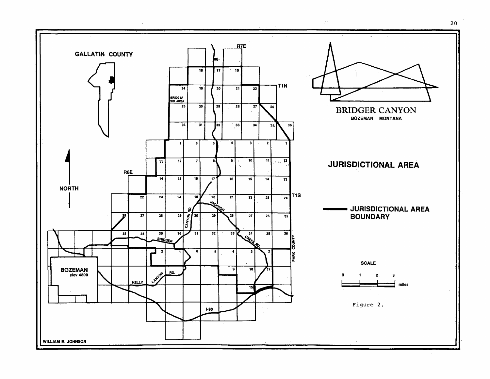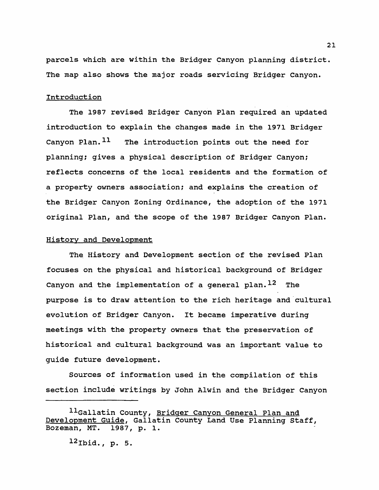**parcels which are within the Bridger Canyon planning district. The map also shows the major roads servicing Bridger Canyon.**

## **Introduction**

**The 1987 revised Bridger Canyon Plan required an updated introduction to explain the changes made in the 1971 Bridger Canyon Plan.11 The introduction points out the need for planning? gives a physical description of Bridger Canyon? reflects concerns of the local residents and the formation of a property owners association? and explains the creation of the Bridger Canyon Zoning Ordinance, the adoption of the 1971 original Plan, and the scope of the 1987 Bridger Canyon Plan.**

## **History and Development**

**The History and Development section of the revised Plan focuses on the physical and historical background of Bridger Canyon and the implementation of a general plan.12 The purpose is to draw attention to the rich heritage and cultural evolution of Bridger Canyon. It became imperative during meetings with the property owners that the preservation of historical and cultural background was an important value to guide future development.**

**Sources of information used in the compilation of this section include writings by John Alwin and the Bridger Canyon**

**<sup>11</sup>Gallatin County, Bridger Canyon General Plan and Development Guide. Gallatin County Land Use Planning Staff, Bozeman, MT. 1987, p. 1.**

**<sup>12</sup>Ibid., p. 5.**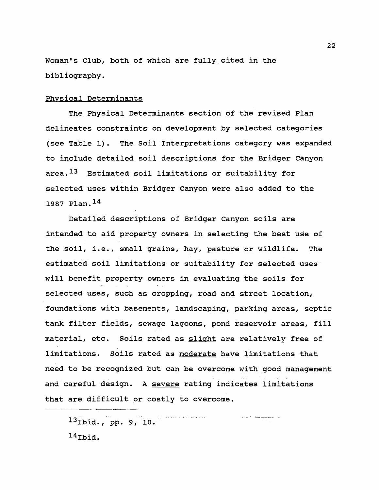**Woman\*s Club, both of which are fully cited in the bibliography.**

#### **Physical Determinants**

**The Physical Determinants section of the revised Plan delineates constraints on development by selected categories (see Table 1). The Soil Interpretations category was expanded to include detailed soil descriptions for the Bridger Canyon area.13 Estimated soil limitations or suitability for selected uses within Bridger Canyon were also added to the 1987 Plan.14**

**Detailed descriptions of Bridger Canyon soils are intended to aid property owners in selecting the best use of the soil, i.e., small grains, hay, pasture or wildlife. The estimated soil limitations or suitability for selected uses will benefit property owners in evaluating the soils for selected uses, such as cropping, road and street location, foundations with basements, landscaping, parking areas, septic tank filter fields, sewage lagoons, pond reservoir areas, fill material, etc. Soils rated as slight are relatively free of limitations. Soils rated as moderate have limitations that need to be recognized but can be overcome with good management and careful design. A severe rating indicates limitations that are difficult or costly to overcome.**

and the second complete service and the

**13Ibid., pp. 9, 10. 14Ibid.**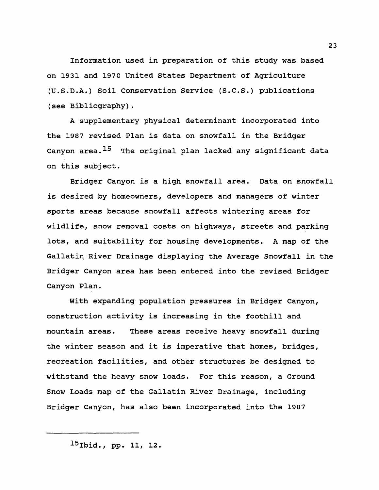**Information used in preparation of this study was based on 1931 and 197 0 United States Department of Agriculture (U.S.D.A.) Soil Conservation Service (S.C.S.) publications (see Bibliography).**

**A supplementary physical determinant incorporated into the 1987 revised Plan is data on snowfall in the Bridger Canyon area.15 The original plan lacked any significant data on this subject.**

**Bridger Canyon is a high snowfall area. Data on snowfall is desired by homeowners, developers and managers of winter sports areas because snowfall affects wintering areas for wildlife, snow removal costs on highways, streets and parking lots, and suitability for housing developments. A map of the Gallatin River Drainage displaying the Average Snowfall in the Bridger Canyon area has been entered into the revised Bridger Canyon Plan.**

**With expanding population pressures in Bridger Canyon, construction activity is increasing in the foothill and mountain areas. These areas receive heavy snowfall during the winter season and it is imperative that homes, bridges, recreation facilities, and other structures be designed to withstand the heavy snow loads. For this reason, a Ground Snow Loads map of the Gallatin River Drainage, including Bridger Canyon, has also been incorporated into the 1987**

**<sup>15</sup>Ibid., pp. 11, 12.**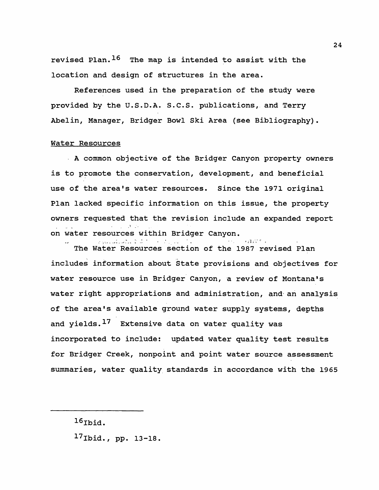**revised Plan.16 The map is intended to assist with the location and design of structures in the area.**

**References used in the preparation of the study were provided by the U.S.D.A. S.C.S. publications, and Terry Abelin, Manager, Bridger Bowl Ski Area (see Bibliography).**

## **Water Resources**

**A common objective of the Bridger Canyon property owners is to promote the conservation, development, and beneficial use of the area's water resources. Since the 1971 original Plan lacked specific information on this issue, the property owners requested that the revision include an expanded report** ■j **. on water resources within Bridger Canyon.**

auxilion of

**The Water Resources section of the 1987 revised Plan includes information about State provisions and objectives for water resource use in Bridger Canyon, a review of Montana's water right appropriations and administration, and an analysis of the area's available ground water supply systems, depths and yields.17 Extensive data on water quality was incorporated to include: updated water quality test results for Bridger Creek, nonpoint and point water source assessment summaries, water quality standards in accordance with the 1965**

**17Ibid., pp. 13-18.**

a germanica di d

**<sup>16</sup>Ibid.**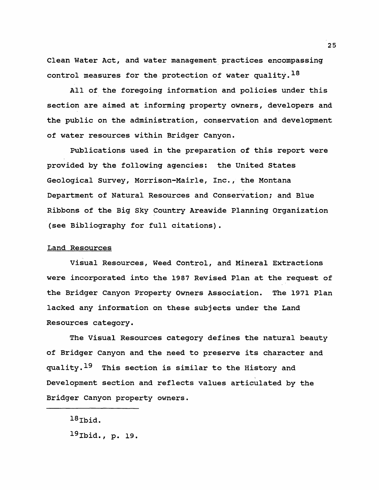**Clean Water Act, and water management practices encompassing control measures for the protection of water quality.18**

**All of the foregoing information and policies under this section are aimed at informing property owners, developers and the public on the administration, conservation and development of water resources within Bridger Canyon.**

**Publications used in the preparation of this report were provided by the following agencies: the United States Geological Survey, Morrison-Mairle, Inc., the Montana Department of Natural Resources and Conservation; and Blue Ribbons of the Big Sky Country Areawide Planning Organization (see Bibliography for full citations).**

#### **Land Resources**

**Visual Resources, Weed Control, and Mineral Extractions were incorporated into the 1987 Revised Plan at the request of the Bridger Canyon Property Owners Association. The 1971 Plan lacked any information on these subjects under the Land Resources category.**

**The Visual Resources category defines the natural beauty of Bridger Canyon and the need to preserve its character and quality.19 This section is similar to the History and Development section and reflects values articulated by the Bridger Canyon property owners.**

**<sup>18</sup>Ibid. 19Ibid., p. 19.**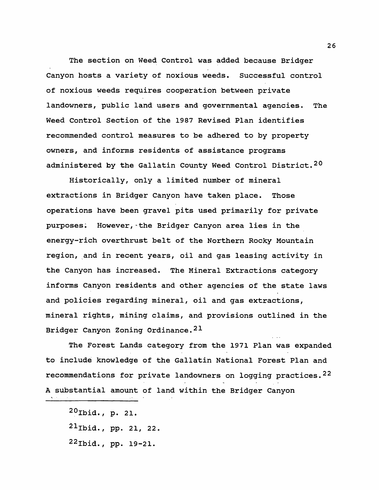**The section on Weed Control was added because Bridger Canyon hosts a variety of noxious weeds. Successful control of noxious weeds requires cooperation between private landowners, public land users and governmental agencies. The Weed Control Section of the 1987 Revised Plan identifies recommended control measures to be adhered to by property owners, and informs residents of assistance programs administered by the Gallatin County Weed Control District.20**

**Historically, only a limited number of mineral extractions in Bridger Canyon have taken place. Those operations have been gravel pits used primarily for private purposes. However,-the Bridger Canyon area lies in the energy-rich overthrust belt of the Northern Rocky Mountain region, and in recent years, oil and gas leasing activity in the Canyon has increased. The Mineral Extractions category informs Canyon residents and other agencies of the state laws and policies regarding mineral, oil and gas extractions, mineral rights, mining claims, and provisions outlined in the Bridger Canyon Zoning Ordinance.21**

**The Forest Lands category from the 1971 Plan was expanded to include knowledge of the Gallatin National Forest Plan and recommendations for private landowners on logging practices.22 A substantial amount of land within the Bridger Canyon**

**<sup>20</sup>Ibid., p. 21.**

**<sup>21</sup>Ibid., pp. 21, 22.**

**<sup>22</sup>Ibid., pp. 19-21.**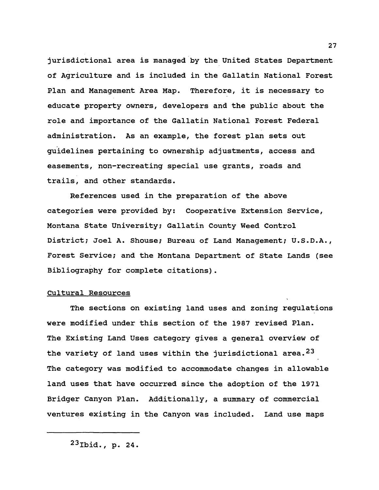**jurisdictional area is managed by the United States Department of Agriculture and is included in the Gallatin National Forest Plan and Management Area Map. Therefore, it is necessary to educate property owners, developers and the public about the role and importance of the Gallatin National Forest Federal administration. As an example, the forest plan sets out guidelines pertaining to ownership adjustments, access and easements, non-recreating special use grants, roads and trails, and other standards.**

**References used in the preparation of the above categories were provided by: Cooperative Extension Service, Montana State University; Gallatin County Weed Control District? Joel A. Shouse? Bureau of Land Management? U.S.D.A., Forest Service? and the Montana Department of State Lands (see Bibliography for complete citations).**

## **Cultural Resources**

**The sections on existing land uses and zoning regulations were modified under this section of the 1987 revised Plan. The Existing Land Uses category gives a general overview of the variety of land uses within the jurisdictional area.23 The category was modified to accommodate changes in allowable land uses that have occurred since the adoption of the 1971 Bridger Canyon Plan. Additionally, a summary of commercial ventures existing in the Canyon was included. Land use maps**

**<sup>23</sup>Ibid., p. 24.**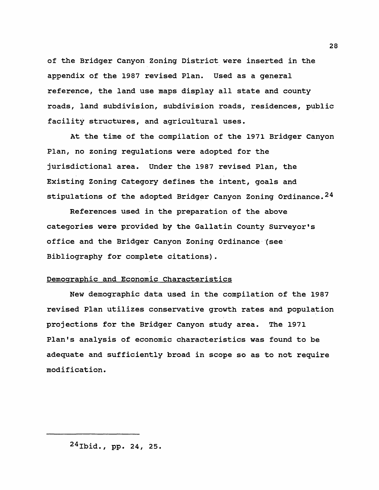**of the Bridger Canyon Zoning District were inserted in the appendix of the 1987 revised Plan. Used as a general reference, the land use maps display all state and county roads, land subdivision, subdivision roads, residences, public facility structures, and agricultural uses.**

**At the time of the compilation of the 1971 Bridger Canyon Plan, no zoning regulations were adopted for the jurisdictional area. Under the 1987 revised Plan, the Existing Zoning Category defines the intent, goals and stipulations of the adopted Bridger Canyon Zoning Ordinance.24**

**References used in the preparation of the above categories were provided by the Gallatin County Surveyor's office and the Bridger Canyon Zoning Ordinance (see Bibliography for complete citations).**

## **Demographic and Economic Characteristics**

**New demographic data used in the compilation of the 1987 revised Plan utilizes conservative growth rates and population projections for the Bridger Canyon study area. The 1971 Plan's analysis of economic characteristics was found to be adequate and sufficiently broad in scope so as to not require modification.**

**<sup>24</sup>Ibid., pp. 24, 25.**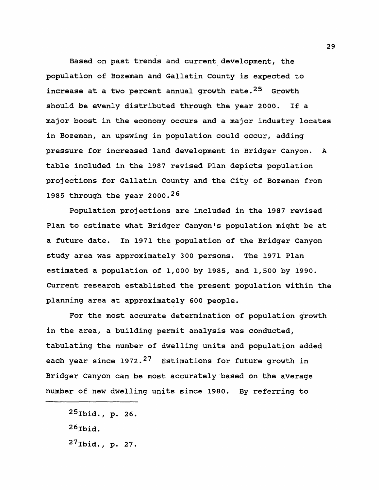**Based on past trends and current development, the population of Bozeman and Gallatin County is expected to increase at a two percent annual growth rate.25 Growth should be evenly distributed through the year 2000. If a major boost in the economy occurs and a major industry locates in Bozeman, an upswing in population could occur, adding pressure for increased land development in Bridger Canyon. A table included in the 1987 revised Plan depicts population projections for Gallatin County and the City of Bozeman from 1985 through the year 2000.26**

**Population projections are included in the 1987 revised Plan to estimate what Bridger Canyon's population might be at a future date. In 1971 the population of the Bridger Canyon study area was approximately 3 00 persons. The 1971 Plan estimated a population of 1,000 by 1985, and 1,500 by 1990. Current research established the present population within the planning area at approximately 600 people.**

**For the most accurate determination of population growth in the area, a building permit analysis was conducted, tabulating the number of dwelling units and population added each year since 1972.27 Estimations for future growth in Bridger Canyon can be most accurately based on the average number of new dwelling units since 1980. By referring to**

**<sup>25</sup>Ibid., p. 26. 26Ibid. 27Ibid., p. 27.**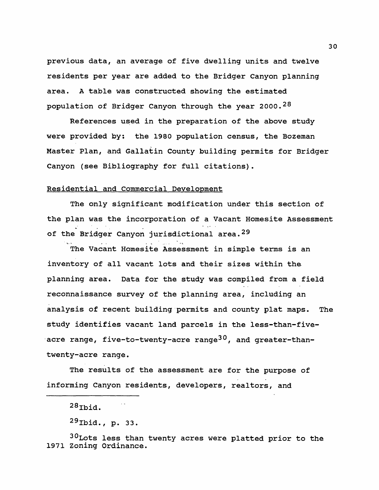**previous data, an average of five dwelling units and twelve residents per year are added to the Bridger Canyon planning area. A table was constructed showing the estimated population of Bridger Canyon through the year 2000.28**

**References used in the preparation of the above study were provided by: the 1980 population census, the Bozeman Master Plan, and Gallatin County building permits for Bridger Canyon (see Bibliography for full citations).**

## **Residential and Commercial Development**

**The only significant modification under this section of the plan was the incorporation of a Vacant Homesite Assessment of the Bridger Canyon jurisdictional area.29**

**The Vacant Homesite Assessment in simple terms is an inventory of all vacant lots and their sizes within the planning area. Data for the study was compiled from a field reconnaissance survey of the planning area, including an analysis of recent building permits and county plat maps. The study identifies vacant land parcels in the less-than-fiveacre range, five-to-twenty-acre range30, and greater-thantwenty-acre range.**

**The results of the assessment are for the purpose of informing Canyon residents, developers, realtors, and**

 $28$ Thid.

**30Lots less than twenty acres were platted prior to the 1971 Zoning Ordinance.**

**<sup>29</sup>Ibid., p. 33.**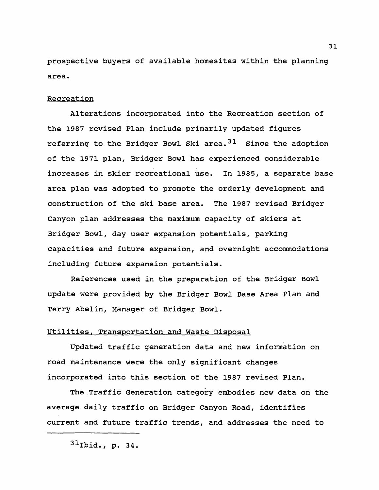**prospective buyers of available homesites within the planning area.**

## **Recreation**

**Alterations incorporated into the Recreation section of the 1987 revised Plan include primarily updated figures referring to the Bridger Bowl Ski area.31 Since the adoption of the 1971 plan, Bridger Bowl has experienced considerable increases in skier recreational use. In 1985, a separate base area plan was adopted to promote the orderly development and construction of the ski base area. The 1987 revised Bridger Canyon plan addresses the maximum capacity of skiers at Bridger Bowl, day user expansion potentials, parking capacities and future expansion, and overnight accommodations including future expansion potentials.**

**References used in the preparation of the Bridger Bowl update were provided by the Bridger Bowl Base Area Plan and Terry Abelin, Manager of Bridger Bowl.**

## **Utilities. Transportation and Waste Disposal**

**Updated traffic generation data and new information on road maintenance were the only significant changes incorporated into this section of the 1987 revised Plan.**

**The Traffic Generation category embodies new data on the average daily traffic on Bridger Canyon Road, identifies current and future traffic trends, and addresses the need to**

**<sup>31</sup>Ibid., p. 34.**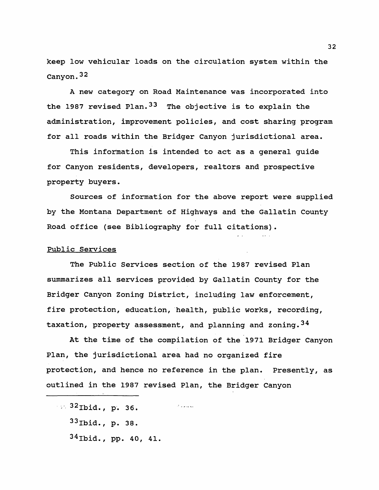**keep low vehicular loads on the circulation system within the Canyon.32**

**A new category on Road Maintenance was incorporated into the 1987 revised Plan.33 The objective is to explain the administration, improvement policies, and cost sharing program for all roads within the Bridger Canyon jurisdictional area.**

**This information is intended to act as a general guide for Canyon residents, developers, realtors and prospective property buyers.**

**Sources of information for the above report were supplied by the Montana Department of Highways and the Gallatin County Road office (see Bibliography for full citations).**

## **Public Services**

**The Public Services section of the 1987 revised Plan summarizes all services provided by Gallatin County for the Bridger Canyon Zoning District, including law enforcement, fire protection, education, health, public works, recording, taxation, property assessment, and planning and zoning.34**

**At the time of the compilation of the 1971 Bridger Canyon Plan, the jurisdictional area had no organized fire protection, and hence no reference in the plan. Presently, as outlined in the 1987 revised Plan, the Bridger Canyon**

**<sup>32</sup>Ibid., p. 36.** *Charles Committee* **33Ibid., p. 38. 34Ibid., pp. 40, 41.**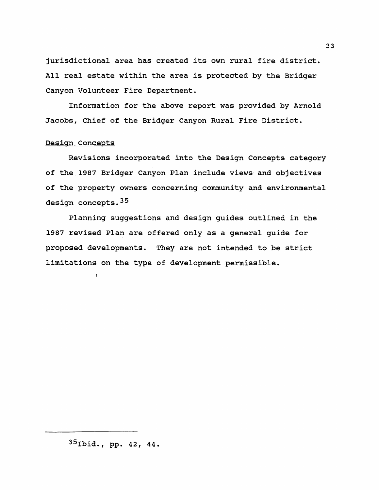**jurisdictional area has created its own rural fire district. All real estate within the area is protected by the Bridger Canyon Volunteer Fire Department.**

**Information for the above report was provided by Arnold Jacobs, Chief of the Bridger Canyon Rural Fire District.**

## **Design Concepts**

 $\mathbf{I}$ 

**Revisions incorporated into the Design Concepts category of the 1987 Bridger Canyon Plan include views and objectives of the property owners concerning community and environmental design concepts.35**

**Planning suggestions and design guides outlined in the 1987 revised Plan are offered only as a general guide for proposed developments. They are not intended to be strict limitations on the type of development permissible.**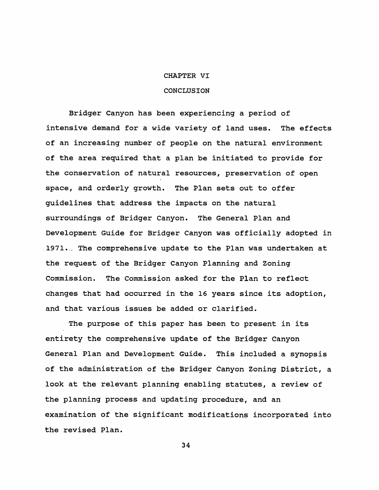#### **CHAPTER VI**

#### **CONCLUSION**

**Bridger Canyon has been experiencing a period of intensive demand for a wide variety of land uses. The effects of an increasing number of people on the natural environment of the area required that a plan be initiated to provide for the conservation of natural resources, preservation of open space, and orderly growth. The Plan sets out to offer guidelines that address the impacts on the natural surroundings of Bridger Canyon. The General Plan and Development Guide for Bridger Canyon was officially adopted in 1971... The comprehensive update to the Plan was undertaken at the request of the Bridger Canyon Planning and Zoning Commission. The Commission asked for the Plan to reflect changes that had occurred in the 16 years since its adoption, and that various issues be added or clarified.**

**The purpose of this paper has been to present in its entirety the comprehensive update of the Bridger Canyon General Plan and Development Guide. This included a synopsis of the administration of the Bridger Canyon Zoning District, a look at the relevant planning enabling statutes, a review of the planning process and updating procedure, and an examination of the significant modifications incorporated into the revised Plan.**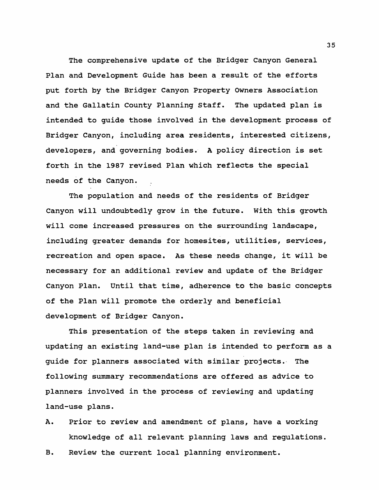**The comprehensive update of the Bridger Canyon General Plan and Development Guide has been a result of the efforts put forth by the Bridger Canyon Property Owners Association and the Gallatin County Planning Staff. The updated plan is intended to guide those involved in the development process of Bridger Canyon, including area residents, interested citizens, developers, and governing bodies. A policy direction is set forth in the 1987 revised Plan which reflects the special needs of the Canyon.**

**The population and needs of the residents of Bridger Canyon will undoubtedly grow in the future. With this growth will come increased pressures on the surrounding landscape, including greater demands for homesites, utilities, services, recreation and open space. As these needs change, it will be necessary for an additional review and update of the Bridger Canyon Plan. Until that time, adherence to the basic concepts of the Plan will promote the orderly and beneficial development of Bridger Canyon.**

**This presentation of the steps taken in reviewing and updating an existing land-use plan is intended to perform as a guide for planners associated with similar projects. The following summary recommendations are offered as advice to planners involved in the process of reviewing and updating land-use plans.**

- **A. Prior to review and amendment of plans, have a working knowledge of all relevant planning laws and regulations.**
- **B. Review the current local planning environment.**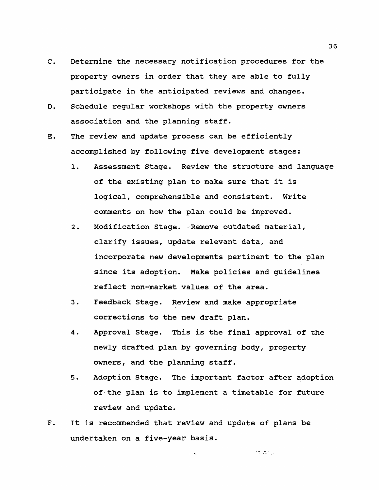- $C_{\bullet}$ **Determine the necessary notification procedures for the property owners in order that they are able to fully participate in the anticipated reviews and changes.**
- D. **Schedule regular workshops with the property owners association and the planning staff.**
- **The review and update process can be efficiently** Ε. **accomplished by following five development stages:**
	- **1. Assessment Stage. Review the structure and language of the existing plan to make sure that it is logical, comprehensible and consistent. Write comments on how the plan could be improved.**
	- **2. Modification Stage. Remove outdated material, clarify issues, update relevant data, and incorporate new developments pertinent to the plan since its adoption. Make policies and guidelines reflect non-market values of the area.**
	- **3. Feedback Stage. Review and make appropriate corrections to the new draft plan.**
	- **4. Approval Stage. This is the final approval of the newly drafted plan by governing body, property owners, and the planning staff.**
	- **5. Adoption Stage. The important factor after adoption of the plan is to implement a timetable for future review and update.**

 $\mathcal{C} = \{ \rho_{\text{eff}} \}_{\text{eff}}$ 

 $F.$ **It is recommended that review and update of plans be undertaken on a five-year basis.**

 $\mathcal{L}^{\mathcal{L}}$  and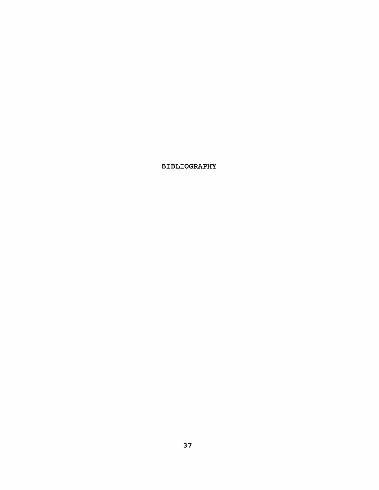## **BIBLIOGRAPHY**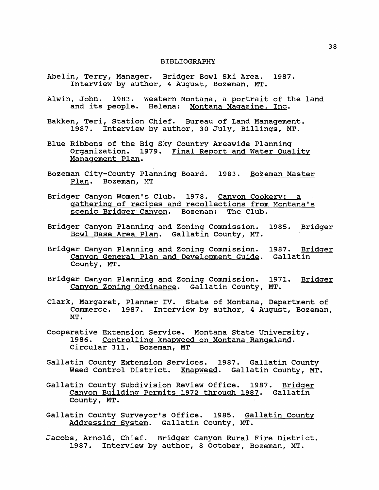#### **BIBLIOGRAPHY**

- **Abelin, Terry, Manager. Bridger Bowl Ski Area. 1987. Interview by author, 4 August, Bozeman, MT.**
- **Alwin, John. 1983. Western Montana, a portrait of the land and its people. Helena: Montana Magazine. Inc.**
- **Bakken, Teri, Station Chief. Bureau of Land Management.** 1987. Interview by author, 30 July, Billings, MT.
- **Blue Ribbons of the Big Sky Country Areawide Planning Organization. 1979. Final Report and Water Quality Management Plan.**
- **Bozeman City-County Planning Board. 1983. Bozeman Master Plan. Bozeman, MT**
- **Bridger Canyon Women's Club. 1978. Canyon Cookery: a gathering of recipes and recollections from Montana's scenic Bridger Canyon. Bozeman: The Club.**
- **Bridger Canyon Planning and Zoning Commission. 1985. Bridger Bowl Base Area Plan. Gallatin County, MT.**
- **Bridger Canyon Planning and Zoning Commission. 1987. Bridger Canyon General Plan and Development Guide. Gallatin County, MT .**
- **Bridger Canyon Planning and Zoning Commission. 1971. Bridger Canvon Zoning Ordinance. Gallatin County, MT.**
- **Clark, Margaret, Planner IV. State of Montana, Department of Commerce. 1987. Interview by author, 4 August, Bozeman, MT.**
- **Cooperative Extension Service. Montana State University. 1986. Controlling knapweed on Montana Rangeland.** Circular 311.
- **Gallatin County Extension Services. 1987. Gallatin County Weed Control District. Knapweed. Gallatin County, MT.**
- **Gallatin County Subdivision Review Office. 1987. Bridger Canvon Building Permits 1972 through 1987. Gallatin County, MT.**
- **Gallatin County Surveyor's Office. 1985. Gallatin County Addressing System. Gallatin County, MT.**
- **Jacobs, Arnold, Chief. Bridger Canyon Rural Fire District. 1987. Interview by author, 8 October, Bozeman, MT.**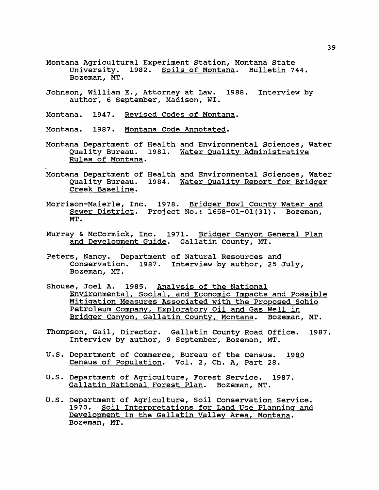- **Montana Agricultural Experiment Station, Montana State University. 1982. Soils of Montana. Bulletin 744. Bozeman, MT.**
- **Johnson, William E., Attorney at Law. 1988. Interview by author, 6 September, Madison, WI.**
- **Montana. 1947. Revised Codes of Montana.**

**Montana. 1987. Montana Code Annotated.**

- **Montana Department of Health and Environmental Sciences, Water Quality Bureau. 1981. Water Quality Administrative . Rules of Montana.**
- **Montana Department of Health and Environmental Sciences, Water Quality Bureau. 1984. Water Quality Report for Bridger Creek Baseline.**
- **Morrison-Maierle, Inc. 1978. Bridger Bowl County Water and Sewer District. Project No.: 1658-01-01(31). Bozeman, MT.**
- **Murray & McCormick, Inc. 1971. Bridger Canvon General Plan and Development Guide. Gallatin County, MT.**
- **Peters, Nancy. Department of Natural Resources and Conservation. 1987. Interview by author, 25 July, Bozeman, MT.**
- **Shouse, Joel A. 1985. Analysis of the National Environmental. Social, and Economic Impacts and Possible Mitigation Measures Associated with the Proposed Sohio Petroleum Company. Exploratory Oil and Gas Well in Bridger Canvon. Gallatin County. Montana. Bozeman, MT.**
- **Thompson, Gail, Director. Gallatin County Road Office. 1987. Interview by author, 9 September, Bozeman, MT.**
- **U.S. Department of Commerce, Bureau of the Census. 1980 Census of Population. Vol. 2, Ch. A, Part 28.**
- **U.S. Department of Agriculture, Forest Service. 1987. Gallatin National Forest Plan. Bozeman, MT.**
- **U.S. Department of Agriculture, Soil Conservation Service. 1970. Soil Interpretations for Land Use Planning and Development in the Gallatin Valiev Area, Montana. Bozeman, MT.**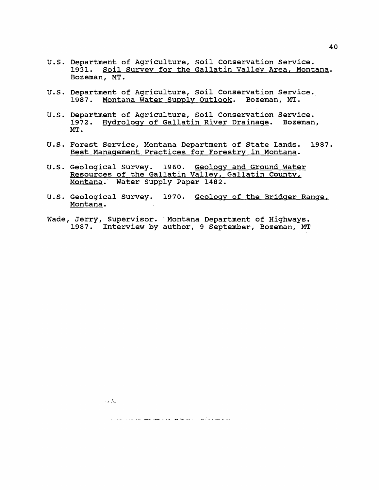**U.S. Department of Agriculture, Soil Conservation Service. 1931. Soil Survey for the Gallatin Valiev Area. Montana. Bozeman, MT.**

**40**

- **U.S. Department of Agriculture, Soil Conservation Service. 1987. Montana Water Supply Outlook. Bozeman, MT.**
- **U.S. Department of Agriculture, Soil Conservation Service. 1972. Hydrology of Gallatin River Drainage. Bozeman, MT.**
- **U.S. Forest Service, Montana Department of State Lands. 1987. Best Management Practices for Forestry in Montana.**
- **U.S. Geological Survey. 19 60. Geology and Ground Water Resources of the Gallatin Valiev. Gallatin County. Montana. Water Supply Paper 1482.**
- U.S. Geological Survey. 1970. <u>Geology of the Bridger Range,</u> **Montana.**
- **Wade Jerry, Supervisor. Montana Department of Highways. 1987. Interview by author, 9 September, Bozeman, MT**

 $\sim 10^{11}$  km s

بكرين يسترعانه أأرسن الماد التعاطية فقوا القارات التبقي القاسم الخارات فالماد الجامات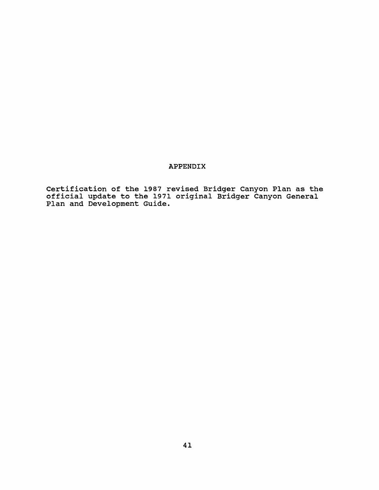## **APPENDIX**

**Certification of the 1987 revised Bridger Canyon Plan as the official update to the 1971 original Bridger Canyon General Plan and Development Guide.**